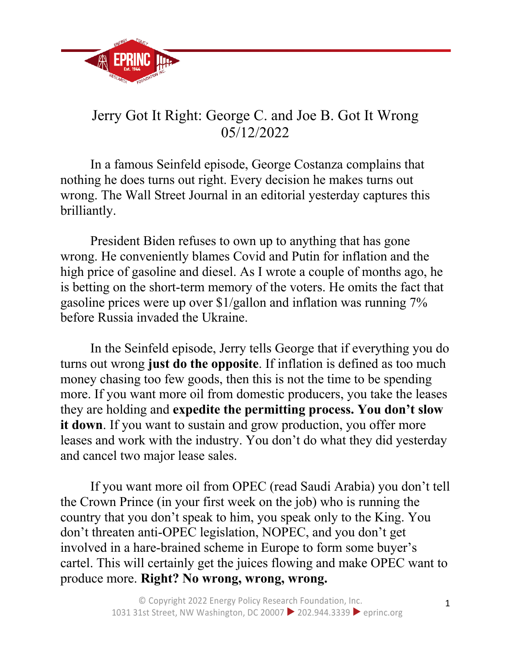

## Jerry Got It Right: George C. and Joe B. Got It Wrong 05/12/2022

In a famous Seinfeld episode, George Costanza complains that nothing he does turns out right. Every decision he makes turns out wrong. The Wall Street Journal in an editorial yesterday captures this brilliantly.

President Biden refuses to own up to anything that has gone wrong. He conveniently blames Covid and Putin for inflation and the high price of gasoline and diesel. As I wrote a couple of months ago, he is betting on the short-term memory of the voters. He omits the fact that gasoline prices were up over \$1/gallon and inflation was running 7% before Russia invaded the Ukraine.

In the Seinfeld episode, Jerry tells George that if everything you do turns out wrong **just do the opposite**. If inflation is defined as too much money chasing too few goods, then this is not the time to be spending more. If you want more oil from domestic producers, you take the leases they are holding and **expedite the permitting process. You don't slow it down**. If you want to sustain and grow production, you offer more leases and work with the industry. You don't do what they did yesterday and cancel two major lease sales.

If you want more oil from OPEC (read Saudi Arabia) you don't tell the Crown Prince (in your first week on the job) who is running the country that you don't speak to him, you speak only to the King. You don't threaten anti-OPEC legislation, NOPEC, and you don't get involved in a hare-brained scheme in Europe to form some buyer's cartel. This will certainly get the juices flowing and make OPEC want to produce more. **Right? No wrong, wrong, wrong.**